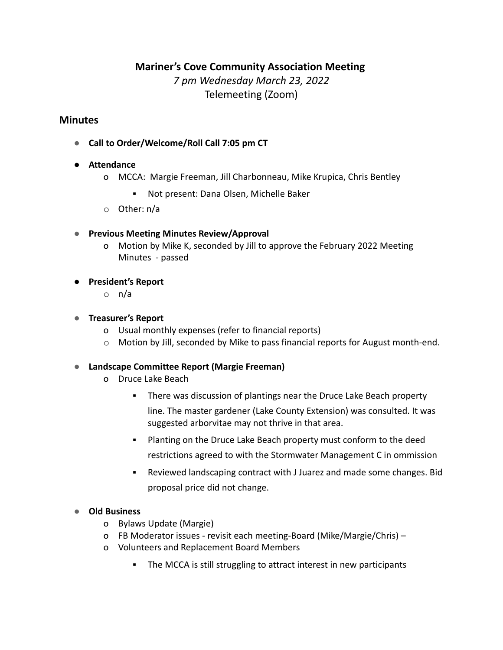# **Mariner's Cove Community Association Meeting**

*7 pm Wednesday March 23, 2022* Telemeeting (Zoom)

# **Minutes**

**● Call to Order/Welcome/Roll Call 7:05 pm CT**

### **● Attendance**

- o MCCA: Margie Freeman, Jill Charbonneau, Mike Krupica, Chris Bentley
	- Not present: Dana Olsen, Michelle Baker
- o Other: n/a
- **● Previous Meeting Minutes Review/Approval**
	- o Motion by Mike K, seconded by Jill to approve the February 2022 Meeting Minutes - passed
- **● President's Report**
	- o n/a

### **● Treasurer's Report**

- o Usual monthly expenses (refer to financial reports)
- $\circ$  Motion by Jill, seconded by Mike to pass financial reports for August month-end.

### **● Landscape Committee Report (Margie Freeman)**

- o Druce Lake Beach
	- There was discussion of plantings near the Druce Lake Beach property line. The master gardener (Lake County Extension) was consulted. It was suggested arborvitae may not thrive in that area.
	- Planting on the Druce Lake Beach property must conform to the deed restrictions agreed to with the Stormwater Management C in ommission
	- Reviewed landscaping contract with J Juarez and made some changes. Bid proposal price did not change.

### **● Old Business**

- o Bylaws Update (Margie)
- o FB Moderator issues revisit each meeting-Board (Mike/Margie/Chris) –
- o Volunteers and Replacement Board Members
	- The MCCA is still struggling to attract interest in new participants